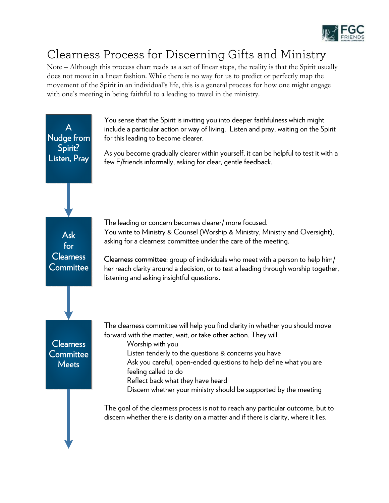

## Clearness Process for Discerning Gifts and Ministry

Note – Although this process chart reads as a set of linear steps, the reality is that the Spirit usually does not move in a linear fashion. While there is no way for us to predict or perfectly map the movement of the Spirit in an individual's life, this is a general process for how one might engage with one's meeting in being faithful to a leading to travel in the ministry.